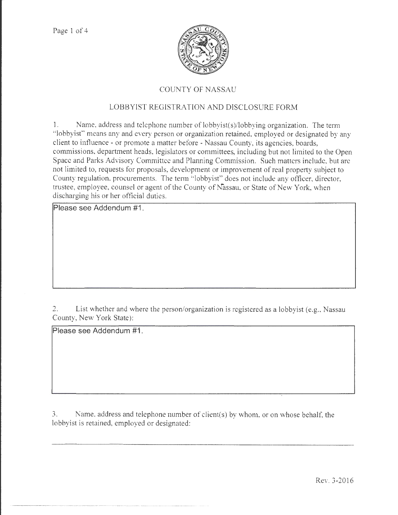

# COUNTY OF NASSAU

# LOBBYIST REGISTRATION AND DISCLOSURE FORM

1. Name, address and telephone number of lobbyist(s)/lobbying organization. The term "lobbyist" means any and every person or organization retained, employed or designated by any client to intluence- or promote a matter before - Nassau County, its agencies, boards, commissions, department heads, legislators or committees, including but not limited to the Open Space and Parks Advisory Committee and Planning Commission. Such matters include, but arc not limited to, requests for proposals, development or improvement of real property subject to County regulation, procurements. The term "lobbyist" does not include any officer, director, trustee, employee, counsel or agent of the County of Nassau, or State of New York, when discharging his or her official duties.

**Please see Addendum #1 .** 

2. List whether and where the person/organization is registered as a lobbyist (e.g., Nassau County, New York State):

**Please see Addendum #1.** 

3. Name, address and telephone number of client(s) by whom, or on whose behalf. the lobbyist is retained, employed or designated: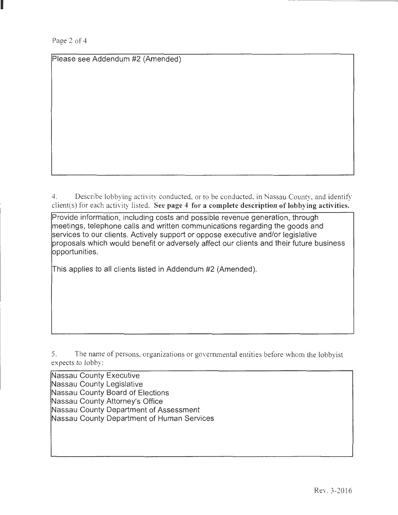I

Please see Addendum #2 (Amended)

4. Describe lobbying activity conducted, or to be conducted, in Nassau County. and identify client(s) for each activity listed. See page 4 for a complete description of lobbying activities.

Provide information, including costs and possible revenue generation, through meetings, telephone calls and written communications regarding the goods and services to our clients. Actively support or oppose executive and/or legislative proposals which would benefit or adversely affect our clients and their future business opportunities.

This applies to all clients listed in Addendum #2 (Amended).

5. The name of persons, organizations or governmental entities before whom the lobbyist expects to lobby:

Nassau County Executive Nassau County Legislative Nassau County Board of Elections Nassau County Attorney's Office Nassau County Department of Assessment Nassau County Department of Human Services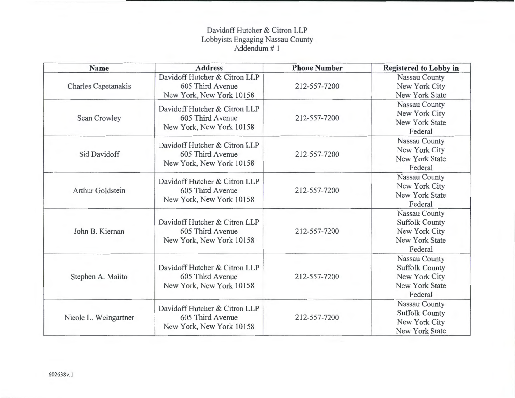# Davidoff Hutcher & Citron LLP Lobbyists Engaging Nassau County Addendum# 1

| Name                  | <b>Address</b>                                                                | <b>Phone Number</b> | <b>Registered to Lobby in</b>                                                               |
|-----------------------|-------------------------------------------------------------------------------|---------------------|---------------------------------------------------------------------------------------------|
| Charles Capetanakis   | Davidoff Hutcher & Citron LLP<br>605 Third Avenue<br>New York, New York 10158 | 212-557-7200        | Nassau County<br>New York City<br><b>New York State</b>                                     |
| Sean Crowley          | Davidoff Hutcher & Citron LLP<br>605 Third Avenue<br>New York, New York 10158 | 212-557-7200        | Nassau County<br>New York City<br><b>New York State</b><br>Federal                          |
| Sid Davidoff          | Davidoff Hutcher & Citron LLP<br>605 Third Avenue<br>New York, New York 10158 | 212-557-7200        | Nassau County<br>New York City<br><b>New York State</b><br>Federal                          |
| Arthur Goldstein      | Davidoff Hutcher & Citron LLP<br>605 Third Avenue<br>New York, New York 10158 | 212-557-7200        | <b>Nassau County</b><br>New York City<br><b>New York State</b><br>Federal                   |
| John B. Kiernan       | Davidoff Hutcher & Citron LLP<br>605 Third Avenue<br>New York, New York 10158 | 212-557-7200        | Nassau County<br><b>Suffolk County</b><br>New York City<br><b>New York State</b><br>Federal |
| Stephen A. Malito     | Davidoff Hutcher & Citron LLP<br>605 Third Avenue<br>New York, New York 10158 | 212-557-7200        | Nassau County<br><b>Suffolk County</b><br>New York City<br><b>New York State</b><br>Federal |
| Nicole L. Weingartner | Davidoff Hutcher & Citron LLP<br>605 Third Avenue<br>New York, New York 10158 | 212-557-7200        | Nassau County<br><b>Suffolk County</b><br>New York City<br><b>New York State</b>            |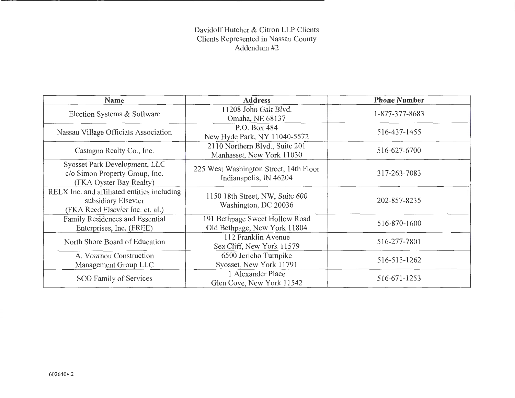# Davidoff Hutcher & Citron LLP Clients Clients Represented in Nassau County Addendum #2

| <b>Name</b>                                                                                            | <b>Address</b>                                                   | <b>Phone Number</b> |
|--------------------------------------------------------------------------------------------------------|------------------------------------------------------------------|---------------------|
| Election Systems & Software                                                                            | 11208 John Galt Blvd.<br>Omaha, NE 68137                         | 1-877-377-8683      |
| Nassau Village Officials Association                                                                   | P.O. Box 484<br>New Hyde Park, NY 11040-5572                     | 516-437-1455        |
| Castagna Realty Co., Inc.                                                                              | 2110 Northern Blvd., Suite 201<br>Manhasset, New York 11030      | 516-627-6700        |
| Syosset Park Development, LLC<br>c/o Simon Property Group, Inc.<br>(FKA Oyster Bay Realty)             | 225 West Washington Street, 14th Floor<br>Indianapolis, IN 46204 | 317-263-7083        |
| RELX Inc. and affiliated entities including<br>subsidiary Elsevier<br>(FKA Reed Elsevier Inc. et. al.) | 1150 18th Street, NW, Suite 600<br>Washington, DC 20036          | 202-857-8235        |
| Family Residences and Essential<br>Enterprises, Inc. (FREE)                                            | 191 Bethpage Sweet Hollow Road<br>Old Bethpage, New York 11804   | 516-870-1600        |
| North Shore Board of Education                                                                         | 112 Franklin Avenue<br>Sea Cliff, New York 11579                 | 516-277-7801        |
| A. Vournou Construction<br>Management Group LLC                                                        | 6500 Jericho Turnpike<br>Syosset, New York 11791                 | 516-513-1262        |
| <b>SCO Family of Services</b>                                                                          | 1 Alexander Place<br>Glen Cove, New York 11542                   | 516-671-1253        |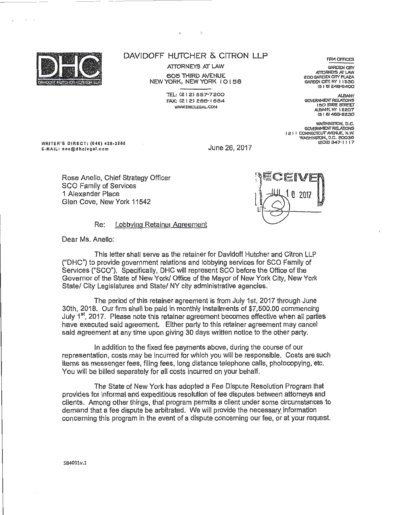

 $\ddot{\cdot}$ 

ATTORNEYS AT LAW 605 THIRD AVENUE NEW YORK, NEW YORK 10158

> 1EL: C2 I 2) 557-7200 FAX: C2 I 2) 286-1 884 WWW.DHCLEGAL.COM

GARDEN CITY, NY 11530 15 I 6) <:46-6400 **ALBANY** 

**FIRM OFFICES GARDEN CITY** ATTORNEYS AT LAW 200 GARDEN CITY PLAZA

GOVERNMENT REIAIONS 150 STATE STREET ALBANY. NY 12207  $(518)465-8230$ 

WASHINGTON, **D.C.** GCM:RNMENT REl.ATIONS I 2 I I CONNECTICUT AVENUE, N.W. WASHINGTON, D.C. 20036 1.202>347-1117

WRITER'S DIRECT: (646) 428-3286 E-MAIL: sec@dhclegal.com

June 26, 2017

Rose Anello, Chief Strategy Officer SCO Family of Services 1 Alexander Place Glen Cove, New York 11542



Re: Lobbying Retainer Agreement

Dear Ms. Anello:

This letter shall serve as the retainer for Davidoff Hutcher and Citron LLP ("DHC") to provide government relations and lobbying services for SCO Family of Services ("SCO"). Specifically, DHC will represent SCO before the Office of the Governor of the State of New York/ Office of the Mayor of New York City, New York State/ City Legislatures and State/ NY city administrative agencies.

The period of this retainer agreement is from July 1st, 2017 through June 30th, 2018. Our firm shall be paid in monthly installments of \$7,500.00 commencing July 1<sup>st</sup> 2017. Please note this retainer agreement becomes effective when all parties have executed said agreement. Either party to this retainer agreement may cancel said agreement at any time upon giving 30 days written notice to the other party.

In addition to the fixed fee payments above, during the course of our representation, costs may be incurred for which you will be responsible. Costs are such items as messenger fees, filing fees, long distance telephone calls, photocopying, etc. You will be billed separately for all costs incurred on your behalf.

The State of New York has adopted a Fee Dispute Resolution Program that provides for informal and expeditious resolution of fee disputes between attorneys and clients . Among other things, that program permits a client under some circumstances to demand that a fee dispute be arbitrated. We will provide the necessary information concerning this program in the event of a dispute concerning our fee, or at your request.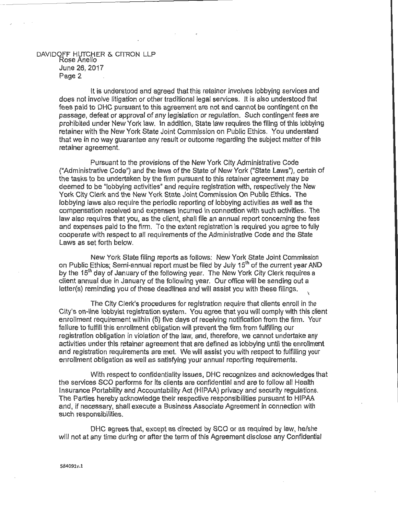#### DAVIDOFF HLITCHER & CITRON LLP Rose Anello June 26, 2017 Page 2

It is understood and agreed that this retainer involves lobbying services and does not involve litigation or other traditional legal services. It is also understood that fees paid to DHC pursuant to this agreement are not and cannot be contingent on the passage, defeat or approval of any legislation or regulation. Such contingent fees are prohibited under New York law. In addition, State law requires the filing of this lobbying retainer with the New York State Joint Commission on Public Ethics. You understand that we in no way guarantee any result or outcome regarding the subject matter of this retainer agreement.

Pursuant *to* the provisions of the New York City Administrative Code ("Administrative Code") and the laws of the State of New York ("State Laws"), certain of the tasks to be undertaken by the firm pursuant to this retainer agreement may be deemed to be "lobbying activities" and require registration with, respectively the New York City Clerk and the New York State Joint Commission On Public Ethics. The lobbying laws also require the periodic reporting of lobbying activities as well as the compensation received and expenses incurred in connection with such activities. The law also requires that you, as the client, shall file an annual report concerning the fees and expenses paid to the firm. To the extent registration is required you agree to fully cooperate with respect to all requirements of the Administrative Code and the State Laws as set forth below.

New York State filing reports as follows: New York State Joint Commission on Public Ethics; Semi-annual report must be filed by July 15<sup>th</sup> of the current year AND by the 15<sup>th</sup> day of January of the following year. The New York City Clerk requires a client annual due in January of the following year. Our office will be sending out a letter(s) reminding you of these deadlines and will assist you with these filings. \

The City Clerk's procedures for registration require that clients enroll in the City's on-line lobbyist registration system. You agree that you will comply with this client enrollment requirement within (5) five days of receiving notification from the firm. Your failure to fulfill this enrollment obligation will prevent the firm from fulfilling our registration obligation in violation of the law, and, therefore, we cannot undertake any activities under this retainer agreement that are defined as lobbying until the enrollment and registration requirements are met. We will assist you with respect to fulfilling your enrollment obligation as well as satisfying your annual reporting requirements.

With respect to confidentiality issues, DHC recognizes and acknowledges that the services SCO performs for its clients are confidential and are to follow all Health Insurance Portability and Accountability Act (HIPAA) privacy and security regulations. The Parties hereby acknowledge their respective responsibilities pursuant to HIPAA and, if necessary, shall execute a Business Associate Agreement in connection with such responsibilities.

DHC agrees that, except as directed by SCO or as required by law, he/she will not at any time during or after the term of this Agreement disclose any Confidential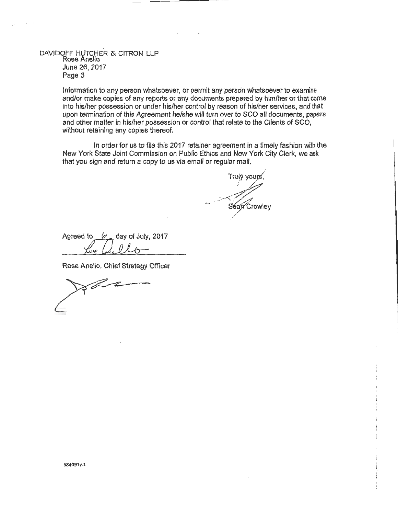#### DAVIDOFF HUTCHER & CITRON LLP Rose Anello June 26, 2017 Page 3

Information to any person whatsoever, or permit any person whatsoever to examine and/or make copies of any reports or any documents prepared by him/her or that come into his/her possession or under his/her control by reason of his/her services, and that upon termination of this Agreement he/she will turn over to SCO all documents, papers and other matter in his/her possession or control that relate to the Clients of SCO, without retaining any copies thereof.

In order for us to file this 2017 retainer agreement in a timely fashion with the New York State Joint Commission on Public Ethics and New York City Clerk, we ask that you sign and return a copy to us via email or regular mail.

Trulý vours  $\mathcal{L}_{\mathcal{A}}$ -~  $\sim$  Seap Crowley /

Agreed to  $\frac{6}{100}$  day of July, 2017<br>  $\frac{6}{100}$  Chief Strategy Officer  $\ell$   $\sim$  day of July, 2017

Rose Anello, Chief Strategy Officer

**Rode**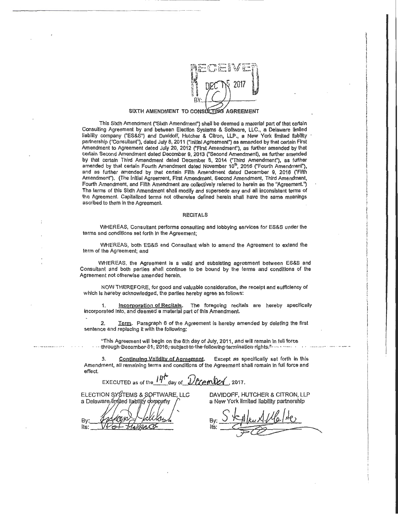

I

 $\mathcal{L}_{\mathcal{P}}$  and  $\mathcal{L}_{\mathcal{P}}$  and  $\mathcal{L}_{\mathcal{P}}$  and  $\mathcal{L}_{\mathcal{P}}$  and  $\mathcal{L}_{\mathcal{P}}$  and  $\mathcal{L}_{\mathcal{P}}$ 

ang di Palaysian (Palaysian)<br>Ing Palaysian<br>I

In Montana<br>I

 $\mathcal{L}(\mathcal{L})$  and  $\mathcal{L}(\mathcal{L})$  and  $\mathcal{L}(\mathcal{L})$  and  $\mathcal{L}(\mathcal{L})$  and  $\mathcal{L}(\mathcal{L})$  and  $\mathcal{L}(\mathcal{L})$ International Professional Professional Professional Professional Professional Professional Professional Professional Professional Professional Professional Professional Professional Professional Professional Professional **INSTANTATION** !!! #254#\* I<br>I Stockholms of the Williams .<br>.<br>.<br>. ii<br>iidada ah<br>iidada ah the Section of  $\frac{1}{2}$  is a contract of the contract of the contract of the contract of the contract of the contract of the contract of the contract of the contract of the contract of the contract of the contract of the contract of th  $1 - \frac{1}{2}$  $\label{eq:2.1} \begin{aligned} \mathcal{L}_{\mathcal{A}}(\mathcal{L}_{\mathcal{A}}^{\text{max}}(\mathcal{A}^{\text{max}}), \mathcal{L}_{\mathcal{A}}^{\text{max}}(\mathcal{A}^{\text{max}}), \mathcal{L}_{\mathcal{A}}^{\text{max}}(\mathcal{A}^{\text{max}}), \mathcal{L}_{\mathcal{A}}^{\text{max}}(\mathcal{A}^{\text{max}}), \mathcal{L}_{\mathcal{A}}^{\text{max}}(\mathcal{A}^{\text{max}}), \mathcal{L}_{\mathcal{A}}^{\text{max}}(\mathcal{A}^{\text{max}}), \mathcal{L}_{\math$ la marca **INC. IN AN AMPARATURE** 

In the contrast of the property of the contrast of the contrast of the contrast of the contrast of the contrast of the contrast of the contrast of the contrast of the contrast of the contrast of the contrast of the contra

International Seconds Services Company ! **International**  $\frac{1}{2}$ 

 $\mathbf{r}$  . All adds of although the property of  $\mathbf{r}$ i

**I**  $\frac{1}{2}$ ' i

#### SIXTH AMENDMENT TO CONSULTING AGREEMENT

--------------------------------------------------

This Sixth Amendment f'Sixth Amendment") shall be deemed a material part of that certain Consulting Agreement by and between Election Systems & Software, LLC., a Delaware limited liability company ("ES&S") and Davidoff, Hutcher & Citron, LLP., a New York limited llability partnership ("Consultant"), dated July 8, 2011 ("Initial Agreement") as amended by that certain First Amendment to Agreement dated July 20, 2012 ("First Amendment"), as fUrther amended by that certain Second Amendment dated December 9, 2013 ('Second Amendment), as further amended by that certain Third Amendment dated December 8, 2014 ('Third Amendment"), as further amended by that certain Fourth Amendment dated November 10<sup>th</sup>, 2016 ("Fourth Amendment"), and as further amended by that certain Fifth Amendment dated December 9, 2016 ("Fifth Amendment'), (The Initial Agreement, First Amendment, Second Amendment, Third Amendment, Fourth Amendment, and Fifth Amendment are collectively referred to herein as the "Agreement.") The terms of this Sixth Amendment shall modify and supersede any and all Inconsistent terms of the Agreement. Capitalized terms not otherwise defined herein shall have the same meanings ascribed to them In the Agreement.

#### RECITALS

WHEREAS, Consultant performs consulting and lobbying services for ES&S under the terms and condltlons set forth In the Agreement;

WHEREAS, both ES&S and Consultant wish to amend the Agreement to extend the term of the Agreement; and

WHEREAS, the Agreement Is a valid and subsisting agreement between ES&S and Consultant and both parties shall continue to be bound by the terms and conditions of the Agreement not otherwise amended herein.

NOW THEREFORE, for good and valuable consideration, the receipt and sufficiency of which Is hereby acknowledged, the parties hereby agree as follows:

1. Incorporation of Recitals. The foregoing recitals are hereby specifically Incorporated Into, and deemed a material part of this Amendment.

2. Term. Paragraph 6 of the Agreement is hereby amended by deleting the first sentence and replacing It with the following:

"This Agreement will begin on the 8th day of July, 2011, and will remain In full force  $\cdot$ through-December-31, 2018, subject-to-the-following-termination-rights;" ... .. ......

3. Continuing Validity of Agreement. Except as specifically set forth in this Amendment, all remaining terms and conditions of the Agreement shall remain in full force and<br>effect. effect. And the contract of the contract of the contract of the contract of the contract of the contract of the contract of the contract of the contract of the contract of the contract of the contract of the contract of th

EXECUTED as of the  $14^{\circ}$  day of  $\mathcal{U}$  ember 1, 2017.

ELECTION SYSTEMS & SOFTWARE, LLC a Delaware/limited liability company By:

its:

DAVIDOFF, HUTCHER & CITRON, LLP a New York limited liability partnership

By: Skylku Allelde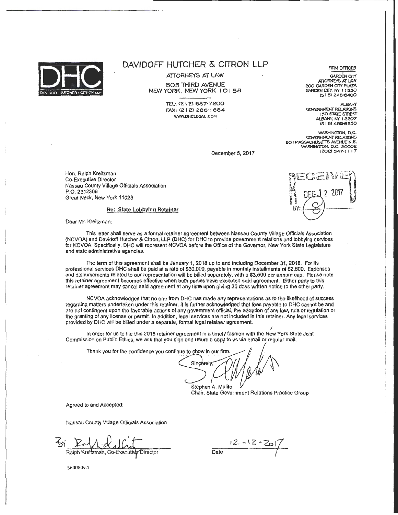

ATTORNEYS AT LAW

605 THIRD AVENUE NEW YORK, NEW YORK I 0 I 58

> TEL: (212) 557-7200 FAX: (2 I 2> 286- 1 884 WWW. OHCLEGAl.COM

GARDEN CfiY. NY I I 530  $(516)$  248-6400 ALBANY<br>GOVERNMENT RELATIONS

I 50 STATE STREET *AJ..BAN'(.* NY I ZZ07 (518) 465-8230

WASHINGTON, D.C. GOVERNMENT RELATIONS 20 I MASSACHUSETTS AVENUE N.E. WASHINGTON, D.C. 20002 (202) 347-1117

December 5, 2017

Hon. Ralph Kreitzman Co-Executive Director Nassau County Village Officials Association P.O. 2312309 Great Neck, New York 11023

#### Re: State Lobbying Retainer

Dear Mr. Kreitzman:

This letter shall serve as a formal retainer agreement between Nassau County Village Officials Association (NCVOA) and Davidoff Hutcher & Citron, LLP (DHC) for DHC to provide government relations and lobbying services for NCVOA. Specifically, DHC will represent NCVOA before the Office of the Governor, New York State Legislature and state administrative agencies.

The term of this agreement shall be January 1, 2018 up to and including December 31, 2018. For Its professional services DHC shall be paid at a rate of \$30,000, payable in monthly installments of \$2,500. Expenses and disbursements related to our representation will be billed separately, with a \$3,500 per annum cap. Please note this retainer agreement becomes effective when both parties have executed said agreement. Either party to this retainer agreement may cancel said agreement at any time upon giving 30 days written notice to the other party.

NCVOA acknowledges that no one from DHC has made any representations as to the likelihood of success regarding matters undertaken under this retainer. It Is further acknowledged that fees payable to DHC cannot be and are not contingent upon the favorable actions of any government official, the adoption of any law, rule or regulation or the granting of any license or permit. In addition, legal services are not Included in this retainer. Any legal services provided by DHC will be billed under a separate, formal legal retainer agreement.

In order for us to file this 2018 retainer agreement In a timely fashion with the New York State Joint Commission on Public Ethics, we ask that you sign and return a copy to us via email or regular mail.

Thank you for the confidence you continue to show in our firm

Singerely

Stephen A. Malito Chair, State Government Relations Practice Group

*)* 

Agreed to and Accepted:

Nassau County Village Officials Association

Ralph Kreitzman, Co-Executive Director

 $\frac{12 - 12 - 201}{\frac{52}{2}}$ 

560080v.1

be ny 2 -2017 R١

FIRM OFFICES **GARDEN CITY** 

ATIORNEYS AT LAW 200 GARDEN CITY PLAZA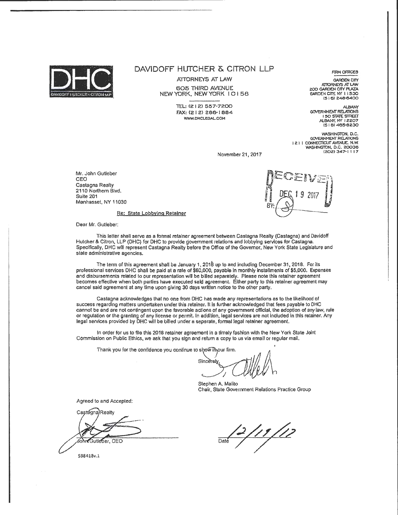

ATTORNEYS AT LAW 605 THIRD AVENUE NEW YORK. NEW YORK I 0 I 58

> TEL: (212) 557-7200 FAX: (2 I 2) 286-1 884 WWW.DHCLEGAL.COM

**FIRM OFFICES** GARDEN CITY ATTORNEYS AT LAW

200 GARDEN CITY PLAZA<br>GARDEN CITY, NY 11530 (516) 248-6400

*ALBAN'(*  GOVERNMENT RELATIONS **I 50 STATE STREET**<br>ALBANY, NY 12207 (5 I 6l 465-6230

WASHINGTON, D.C. **GOVERNMENT RELATIONS** 121 I CONNECTlCUT AVENUE. N.W. WASHINGTON, D.C. 20036 (202) 347·1 l l *7* 

November 21, 2017

Mr. John Gulleber CEO Castagna Realty 2110 Northern Blvd. Suite 201 Manhasset, NY 11030



Re: State Lobbying Retainer

Dear Mr. Gutleber:

This letter shall serve as a formal retainer agreement between Castagna Realty (Castagna) and Davidoff Hutcher & Citron, LLP (DHC} for DHC to provide government relations and lobbying services for Castagna. Specifically, DHC wnl represent Castagna Realty before the Office of the Governor, New York State Legislature and state administrative agencies.

The term of this agreement shall be January 1, 2018 up to and including December 31, 2018. For ils professional services DHC shall be paid at a rate of \$60,000, payable in monthly installments of \$5,000. Expenses and disbursements related to our representation will be billed separately. Please note this retainer agreement becomes effective when both parties have executed said agreement. Either party to this retainer agreement may cancel said agreement at any time upon giving 30 days written notice to the other party.

Castagna acknowledges that no one from DHC has made any representations as to the likelihood of success regarding matters undertaken under this retainer. It is further acknowledged that fees payable to DHC cannot be and are not contingent upon the favorable actions of any government offteial, the adoption of any law, rule or regulation or the granting of any license or permit. In addition, legal services are not included In this retainer. Any legal services provided by DHC will be billed under a separate, formal legal retainer agreement.

In order for us to fila this 2018 retainer agreement in a timely fashion with the New York State Joint Commission on Public Ethics, we ask that you sign and return a copy to us via email or regular mail.

Thank you for the confidence you continue to show linour firm.

Sincerely.

Stephen A. Malito Chair, State Government Relations Practice Group

Agreed to and Accepted:

Castagna)Realty dohreGutleber, CEO

<u>|11 |1</u>2 Date

598418v.1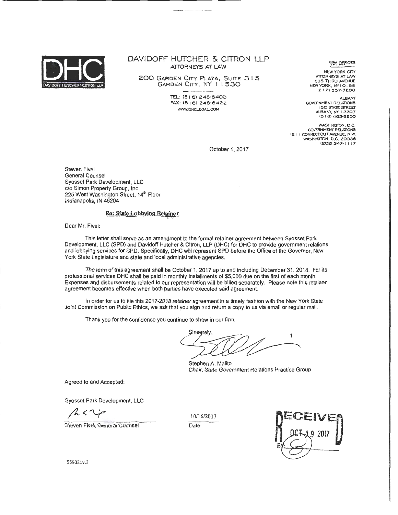

## DAVIDOFF HUTCHER & CITRON LLP ATTORNEYS AT LAW

200 GARDEN CITY PLAZA, SUITE 3 I 5 GARDEN CITY, NY I I 530

> TEL: (516) 248-6400 FAX: !516l 248·6422 *VNNi.* OHCLEGAL. COM

~~~ **.Of;JCES** 

NEW YORK CITY ATTORNEYS AT LAW 605 11-IIRO AVENUE NEW YORK, NYI 0158 12 I 2) 557-7200

ALBANY GOVERNMENT RELATIONS I 50 STATE STREET' ALBANY, NY I 2207 15 I 8) 485·82.30

WASHINGTON, D.C. GOVERNMENT' RELA110NS 12 I I CONNECTICUT AVENUE, N.W. WASHINGTON, D.C. 20036 (2021 347·1 I 17

October 1, 2017

Steven Five! General Counsel Syosset Park Development, LLC c/o Simon Property Group, Inc. 225 West Washington Street, 14<sup>th</sup> Floor Indianapolis, IN 46204

#### Re: State Lobbying Retainer

Dear Mr. Five!:

This letter shall serve as an amendment to the formal retainer agreement between Syosset Park Development, LLC (SPD) and Davidoff Hutcher & Citron, LLP (DHC) for DHC to provide government relations and lobbying services for SPD. Specifically, DHC will represent SPD before the Office of the Governor, New York State Legislature and state and local administrative agencies.

The term of this agreement shall be October 1, 2017 up to and including December 31, 2018. For its professional services DHC shall be paid in monthly installments of \$5,000 due on the first of each month. Expenses and disbursements related to our representation will be billed separately. Please note this retainer agreement becomes effective when both parties have executed said agreement.

In order for us to file this 2017-2018 retainer agreement in a timely fashion with the New York State Joint Commission on Public Ethics, we ask that you sign and return a copy to us via email or regular mail.

Thank you for the confidence you continue to show in our firm.

**Sinegrely** 1

Stephen A. Malito Chair, State Government Relations Practice Group

Agreed to and Accepted:

Syosset Park Development, LLC

Steven Fivel, General Counsel

10/16/2017



555031v.3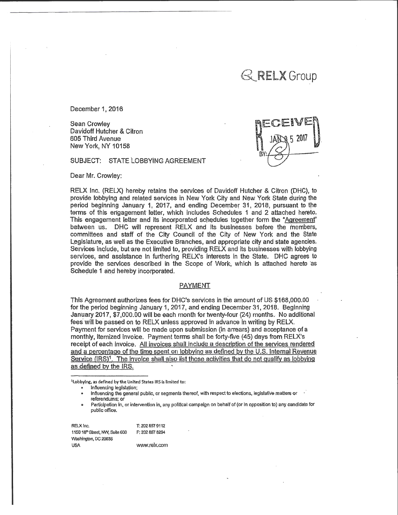# $\mathbb{R}$ RELX Group

December 1, 2016

Sean Crowley Davidoff Hutcher & Citron 605 Third Avenue New York, NY 10158

SUBJECT: STATE LOBBYiNG AGREEMENT

Dear Mr. Crowley:

RELX Inc. {RELX} hereby retains the services of Davidoff Hutcher & Citron (DHC}, to provide lobbying and related services in New York City and New York State during the period beginning January 1, 2017, and ending December 31, 2018; pursuant to the terms of this engagement letter, which includes Schedules 1 and 2 attached hereto. This engagement letter and its incorporated schedules together form the "Agreement" between us. DHC will represent RELX and its businesses before the members, committees and staff of the City Council of the City of New York and the State Legislature, as well as the Executive Branches, and appropriate city and state agencies. Services inqlude, but are not iimited to, providing RELX and Its businesses with lobbying services, and assistance In furthering RELX's interests in the State. DHC agrees to provide the services described in the Scope of Work, which is attached hereto as Schedule 1 and hereby incorporated.

#### PAYMENT

This Agreement authorizes fees for DHC's services in the amount of US \$168,000.00 for the period beginning January 1, 2017, and ending December 31, 2018. Beginning January 2017, \$7,000.00 will be each month for twenty-four (24) months. No additional fees will be passed on to RELX unless approved in advance in writing by RELX. Payment for services will be made upon submission (in arrears) and acceptance of a monthly, itemized Invoice. Payment terms shall be forty-five (45) days from RELX's receipt of each Invoice. All invoices shall include a description of the services rendered and a percentage of the time spent on lobbying as defined by the U.S. Internal Revenue Service (IRS)<sup>1</sup>. The invoice shall also list those activities that do not qualify as lobbying as defined by the IRS.

1lobbylng, as defined by the United States IRS is limited to:

Influencing legislation;

• Influencing the general public, or segments thereof, with respect·to elections, legislative matters or referendums: or

Participation in, or intervention in, any political campaign on behalf of (or in opposition to) any candidate for public office.

REI.X Inc. T: 202 857 9112 1150 18<sup>th</sup> Street, NVV, Suite 600 F: 202 857 8294 washington, DC 20036 USA www.relx.com **DE**  $ECENF$  $\left[\left(\frac{1}{2}\right)^{\frac{1}{2}}\right]$ BY: $\leftarrow$   $\leftarrow$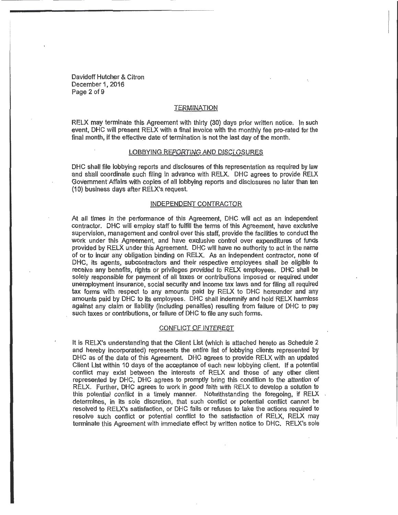Davidoff Hutcher & Citron December 1, 2016 Page 2 of 9

#### **TERMINATION**

RELX may terminate this Agreement with thirty  $(30)$  days prior written notice. In such event, DHC will present RELX with a final invoice with the. monthly fee pro-rated for the final month, if the effective date of termination is not the last day of the month.

#### LOBBYING REPORTING AND DISCLOSURES

DHC shall file lobbying reports and disclosures of this representation as required by law and shall coordinate such filing in advance with RELX. DHC agrees to provide RELX Government Affairs with copies of all lobbying reports and disclosures no later than ten (1 0) business days after RELX's. request.

#### INDEPENDENT CONTRACTOR

At all times in the performance of this Agreement, DHC wfll act as an independent contractor. DHC will employ staff to fulfill the terms of this Agreement, have exclusive supervision, management and control over this staff, provide the facilities to conduct the work under this Agreement, and have exclusive control over expenditures of funds provided by RELX under this Agreement. DHC will have no authority to act in the name of or to incur any obligation binding on RELX. As an independent contractor, none of DHC, its agents, subcontractors and their respective employees shall be eligible to receive any benefits, rights or privileges provided to RELX employees. DHC shall be solely responsible for payment of all taxes or contributions imposed or required under unemployment insurance, social security and income tax laws and for filing all required tax forms with respect to any amounts paid by RELX to DHC hereunder and any amounts paid by DHC to its employees. DHC shall indemnify and hold RELX harmless against any claim or liability (including penalties) resulting from failure of DHC to pay such taxes or contributions, or failure of DHC to file any such forms.

#### CONFLICT OF INTEREST

It is RELX's understanding that the Client List (which is attached hereto as Schedule 2 and hereby incorporated) represents the entire list of lobbying clients represented by DHC as of the date of this Agreement. DHC agrees to provide RELX with an updated Client List within 10 days of the acceptance of each new lobbying client. If a potential conflict may exist between the interests of RELX and those of any other client represented by DHC, DHC agrees to promptly bring this condition to the attention of RELX. Further, DHC agrees to work in good faith with RELX to develop a solution to this potential conflict in a timely manner. Notwithstanding the foregoing, if RELX determines, in its sole discretion, that such conflict or potential conflict cannot be resolved to RELX's satisfaction, or DHC fails or refuses to take the actions required to resolve such conflict or potential conflict to the satisfaction of RELX, RELX may terminate this Agreement with immediate effect by written notice to DHC. RELX's sole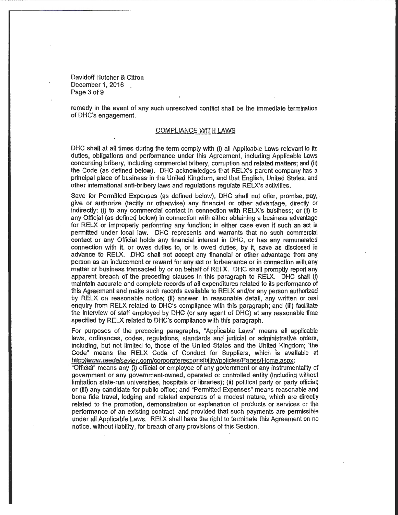Davidoff Hutcher & Citron December 1, 2016 Page 3 of 9

-------------------------~-----------------------------

remedy in the event of any such unresolved conflict shail be the immediate termination of DHC's engagement.

#### COMPLIANCE WITH LAWS

DHC shall at all times during the term comply with {i} all Applicable Laws relevant to its duties, obligations and performance under this Agreement, including Applicable Laws concerning bribery, including commercial bribery, corruption and related matters; and {ii) the Code {as defined below}. DHC acknowledges that RELX's parent company has a principal place of business in the United Kingdom, and that English, United States, and other international anti-bribery laws and regulations regulate RELX's activities.

Save for Permitted Expenses (as defined below), DHC shall not offer, promise, pay,. give or authorize (tacitly or otherwise) any financial or other advantage, directly or indirectly: (i) to any commercial contact in connection with RELX's business; or (ii) to any Official (as defined below) in connection with either obtaining a business advantage for RELX or improperly performing any function; in either case even if such an act is permitted under local law. DHC represents and warmnts that no such commercial contact or any Official holds any financial interest in DHC, or has any remunerated connection with it, or owes duties to, or is owed duties, by it, save as disclosed in advance to RELX. DHC shall not accept any financial or other advantage from any person as an inducement or reward for any act or forbearance or in connection with. any matter or business transacted by or on behalf of RELX. DHC shall promptly report any apparent breach of the preceding clauses in this paragraph to RELX. DHC shalr (i) maintain accurate and complete records of all expenditures related to its performance of this Agreement and make such records available to RELX and/or any person authorized by RELX on reasonable notice; (ii) answer, in reasonable detail, any written or oral enquiry from RELX related to DHC's compliance with this paragraph; and (iii) facilitate the interview of staff employed by DHC (or any agent of DHC) at any reasonable time specified by RELX related to DHC's compliance with this paragraph.

For purposes of the preceding paragraphs, "Applicable Laws" means all applicable laws, ordinances, codes, reguiations, standards and judicial or administrative orders, including, but not limited to, those of the United States and the United Kingdom; "the Code" means the RELX Code of Conduct for Suppliers, which is available at http://www.reedelsevier.com/corporateresponsibility/policies/Pages/Home.aspx;

"Official" means any (i) official or employee of any government or any instrumentality of govemment or any government-owned, operated or controlled entity (including without limitation state-run universities, hospitals or libraries); (ii) political party or party official; or (iii) any candidate for public office; and "Permitted Expenses" means reasonable and bona fide travel, lodging and related expenses of a modest nature, which are directly related to the promotion, demonstration or explanation of products or services or the performance of an existing contract, and provided that such payments are permissible under all Applicable Laws. RELX shall have the right to terminate this Agreement on no notice, without liability, for breach of any provisions of this Section.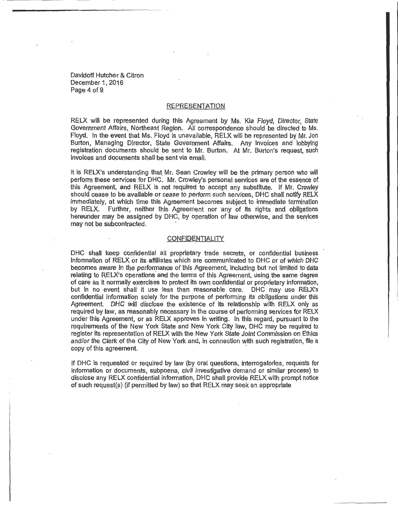Davidoff Hutcher & Citron December 1, 2016 Page 4 of 9.

#### REPRESENTATION

RELX will be represented during this Agreement by Ms. Kia Floyd, Director, State Government Affairs, Northeast Region. All correspondence should be directed to Ms. Floyd. In the event that Ms. Floyd is unavailable, RELX will be represented py Mr. Jon Burton, Managing Director, State Government Affairs. Any invoices and lobbying registration documents should be sent to Mr. Burton. At Mr. Burton's request, such invoices and documents shall be sent via email,

It is RELX's understanding that Mr. Sean Crowley will be the primary person who will perform these services for DHC. Mr. Crowley's personal sen/ices are of the essence of this Agreement, and RELX is not required to accept any substitute. If Mr. Crowley should cease to be available or cease to perform such services, DHC shall notify RELX immediately, at which time this Agreement becomes subject to immediate termination by RELX. Further, neither this Agreement nor any of its rights and obligations hereunder may be assigned by DHC, by operqtion of law otherwise, and the services may not be subcontracted.

#### **CONFIDENTIALITY**

DHC shall keep confidential all proprietary trade secrets, or confidential business Information of RELX or its affiliates which are communicated to. DHC or of Which DHC becomes aware in the performance of "this Agreement, including but not limited to data relating to RELX's operations' and the terms of this Agreement, using the same degree of care as It normally exercises to protect its own confidential or proprietary information, but in no event shall it use less than reasonable care. DHC may use RELX's confiqential information solely for the purpose of performing its obligations under this Agreement. DHC will disclose the existence of its relationship with RELX only as required by law, as reasonably necessary in the course of performing services for RELX under this Agreement, or as RELX approves in writing. In this regard, pursuant to the requirements of the New York State and New York City law, DHC may pe required to register its representation of RELX with the New York State Joint Commission on Ethics and/or the Clerk of the City of New York and, in conneetion with such registration, file a copy of this agreement.

If DHC is requested or required by law (by oral questions, Interrogatories, requests for information or documents, subpoena, civil investigative demand or similar process) to disclose any RELX confidential information, DHC shall provide RELX with prompt notice of such request(s) (if permitted by law) so that RELX may seek an appropriate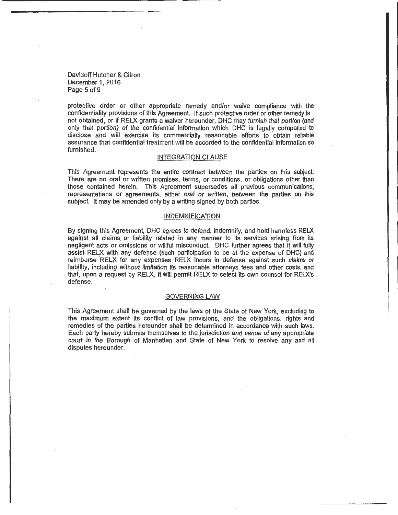Davidoff Hutcher & Citron December 1, 2016 Page 5 of 9

protective order or other appropriate remedy and/or waive compliance with the confidentiality provisions of this Agreement. If such protective order or other remedy is not obtained, or if RELX grants a waiver hereunder, DHC may furnish that portion (and only that portion) of the confidential information which DHC is legally compelled to disclose and will exercise its commercially reasonable efforts to obtain reliable assurance that confidential treatment will be accorded to the confidential Information so furnished.

#### INTEGRATION CLAUSE

This Agreement represents the entire contract between the parties on this subject. There are no oral or written promises, terms, or conditions, or obligations other than those contained herein. This Agreement supersedes all previous communications, representations or agreements, either oral or written, between the parties on this subject. It may be amended only by a writing signed by both parties.

#### INDEMNIFICATION

By signing this Agreement, DHC agrees to defend, indemnify, and hold harmless RELX against all claims or liability related in any manner to its services arising from its negligent acts or omissions or willful misconduct. DHC further agrees that it will fully assist RELX with any defense (such participation to be at the expense of DHC) and reimburse RELX for any expenses RELX incurs in defense against such claims or liabjlity, including without limitation fts reasonable attorneys fees and other costs, and that, upon a request by RELX, it will permit RELX to select its own counsel for RELX's defense.

#### GOVERNING LAW

This Agreement shall be governed by the laws of the State of New York, excluding to the maximum extent its conflict of law provisions, and the obligations, rights and ·remedies of the parties hereunder shall be determined in accordance with such laws. Each party hereby submits themselves to the jurisdiction and venue of any appropriate court in the Borough of Manhattan and State of New York to resolve any and all disputes hereunder.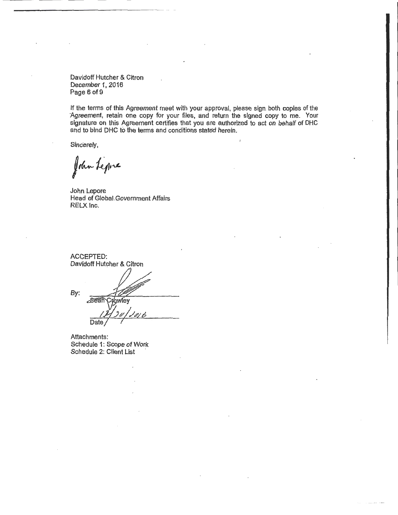Davidoff Hutcher & Citron December 1, 2016 Page 6 of 9

if the terms of this Agreement meet with your approval, please sign both copies of the Agreement, retain one copy for your files, and return the signed copy to me. Your signature on this Agreement certifies that you are authorized to act on behalf of DHC and to bind DHC to the terms and conditions stated herein.

Sincerely,

John Lepre

John Lepore Head of Globai.Government Affairs RELX Inc.

ACCEPTED: Davidoff Hutcher & Citron By: Sear Crowley Date

Attachments: Schedule 1: Scope of Work Schedule 2: Client List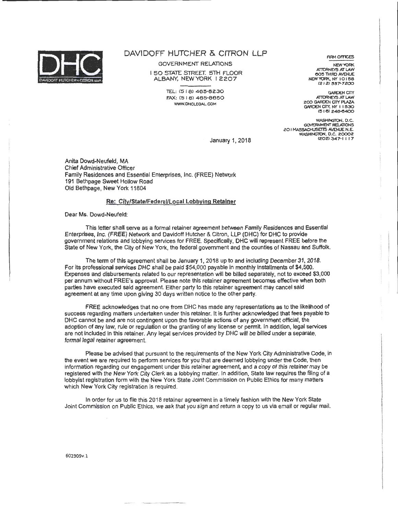

GOVERNMENT RELATIONS

I 50 STATE STREET. 5TH FLOOR ALBANY. NEWYORK I 2207

> iEL: (5 l 8) 485-8230 FAX: (51 6> 485·8850 WWW.DHCLEGAL.COM

FIRM OFFICES

NEW YORK ATTORNEYS AT LAW eo!! 'THIRD AVENUE NEW YORK, NY IO I 58  $(2 | 2)$  557-7200

GARDEN CITY<br>ATTORNEYS AT LAW 200 GARDEN CITY PLAZA GARDEN CITY, NY 11530  $(516)$  248-6400

WASHINGTON, D.C. GOVERNMENT RElA110NS 20 I MASSACHUSETTS AVENUE N.E.<br>WASHINGTON, D.C. 20002 1202) 3-47·1 I 17

January 1, 2018

Anita Dowd-Neufeld, MA Chief Administrative Officer Family Residences and Essential Enterprises, Inc. (FREE) Network 191 Bethpage Sweet Hollow Road Old Bethpage, New York 11804

#### Re: City/State/Federal/Local Lobbying Retainer

Dear Ms. Dowd-Neufeld:

This letter shall serve as a formal retainer agreement between Family Residences and Essential Enterprises, Inc. (FREE) Network and Davidoff Hutcher & Citron, LLP (DHC) for DHC to provide government relations and lobbying services for FREE. Specifically, DHC will represent FREE before the State of New York, the City of New York, the federal government and the counties of Nassau and Suffolk.

The term of this agreement shall be January 1, 2018 up to and including December 31, 2018. For its professional services DHC shall be paid \$54,000 payable in monthly installments of \$4,500. Expenses and disbursements related to our representation will be billed separately, not to exceed \$3,000 per annum without FREE's approval. Please note this retainer agreement becomes effective when both parties have executed said agreement. Either party to this retainer agreement may cancel said agreement at any time upon giving 30 days written notice to the other party.

FREE acknowledges that no one from DHC has made any representations as to the likelihood of success regarding matters undertaken under this retainer. It is further acknowledged that fees payable to DHC cannot be and are not contingent upon the favorable actions of any government official, the adoption of any law, rule or regulation or the granting of any license or permit. In addition, legal services are not included in this retainer. Any legal services provided by DHC will be billed under a separate, formal legal retainer agreement.

Please be advised that pursuant to the requirements of the New York City Administrative Code, in the event we are required to perfonn services for you that are deemed lobbying under the Code, then information regarding our engagement under this retainer agreement, and a copy of this retainer may be registered with the New York City Clerk as a lobbying matter. In addition, State law requires the filing of a lobbyist registration form with the New York State Joint Commission on Public Ethics for many matters which New York City registration is required.

In order for us to fife this 2018 retainer agreement in a timely fashion with the New York State Joint Commission on Public Ethics, we ask that you sign and return a copy to us via email or regular mail.

602309v.l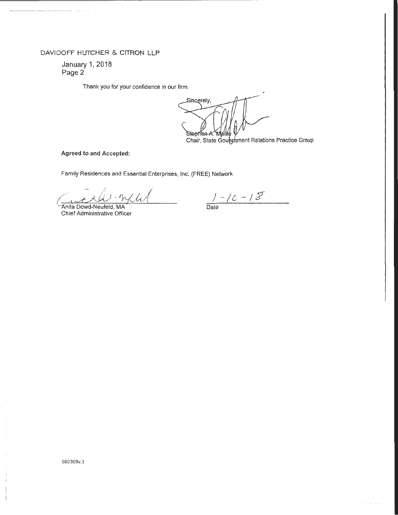January 1. 2018 Page 2

Thank you for your confidence in our firm.

---------------------------------- --- --------- --------- -- -- -

Sincerely, Stephen-A. Wall

Chair, State Government Relations Practice Group

Agreed to and Accepted:

Family Residences and Essential Enterprises, Inc. (FREE) Network

anita Dowd-Neufeld, MA

Chief Administrative Officer

<sup>J</sup>*- /t -J Y* 

Date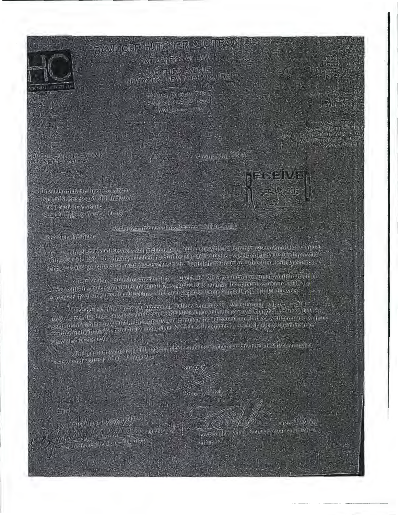

**Ainsign East Air (24)** おいまいました人の時に **NEW YORK LIEW YORK A GUITER** 

**1. 4421(5) あずがある TANDARY STORE REAL IN** WINNING FOR STRING STAT

a storiena na egyptila<br>Storiena szer

Amauscund, 2010

Dies sitze munities litter affection. North Store Good of Library, **THE EXAMPLE AND THE** Securi New York, 090

Part Gyarmment Astropert armor - 2016 - Auto

Dentor labilities

the short and spreased monitoring to bulk removal or a communication of the state e din , 2014 (n. 2015), at a high is all qualitations in the Day distantifician (2515 an idea (iD) is a providi<br>To the une had supported durable has sented ris the North Slame should also denote the lang Strate (

eftspravisions toutre inconcrusies in the engage of an opposition frances in autocomplete around 

. In the corresponding and the property plants of the complete security and the states and capability naiswand called a stace which should

STOCK-B

Congrection (Aspection)

**BILLY** share there that do not hands

inglessfully that Antalog anniversal the **CONGER**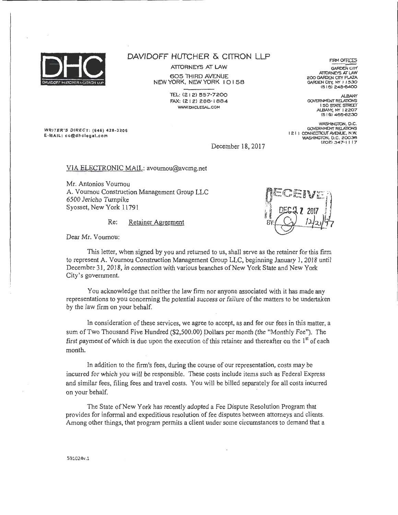

ATIORNEYS AT LAW

605 THIRD AVENUE NEW YORK, NEW YORK I 0 I 58

> TEL: (21 2) 557-7200 FAX: (2 I 2) 286· I 884 WWW.DHCLEGAL.COM

WRITER'S DIRECT: (646) 428-3206 E-MAIL: cc@dhclegal.com

December 18, 2017

VIA ELECTRONIC MAIL: avournou@avcmg.net

Mr. Antonios Vournou A. Voumou Construction Management Group LLC 6500 Jericho Turnpike Syosset, New York 11791

Re: Retainer Agreement



Dear Mr. Voumou:

This letter, when signed by you and returned to us, shall serve as the retainer for this firm to represent A. Vournou Construction Management Group LLC, beginning January 1, 2018 until December 31, 2018, in connection with various branches of New York State and New York City's government.

You acknowledge that neither the law firm nor anyone associated with it has made any representations to you concerning the potential success or failure of the matters to be undertaken by the law firm on your behalf.

In consideration of these services, we agree to accept, as and for our fees in this matter, a sum of Two Thousand Five Hundred (\$2,500.00) Dollars per month (the "Monthly Fee"). The first payment of which is due upon the execution of this retainer and thereafter on the  $1<sup>st</sup>$  of each month.

In addition to the firm's fees, during the course of our representation, costs may be incurred for which you will be responsible. These costs include items such as Federal Express and similar fees, filing fees and travel costs. You will be billed separately for all costs incurred on your behalf.

The State of New York has recently adopted a Fee Dispute Resolution Program that provides for informal and expeditious resolution of fee disputes between attorneys and clients. Among other things, that program permits a client under some circumstances to demand that a

FIRM OFFICES

**GARDEN CITY ATTORNEYS AT LAW** 200 GARDEN CITY PlAZA GARDEN CITY, NY 11530  $(516)$  248-6400

*ALBANY*  GOVERNMENT RELATIONS I 50 STATE STREET ALBANY, NY 12207 (5 I 6) 465-8230

WASHINGTON, O.C. GOVERNMENT RELA110N5 I 2 I I CONNECTICUT AVENUE, N.W. WASHINcrTON, D.C. 20036 (202)347-1 I 17

591024v.l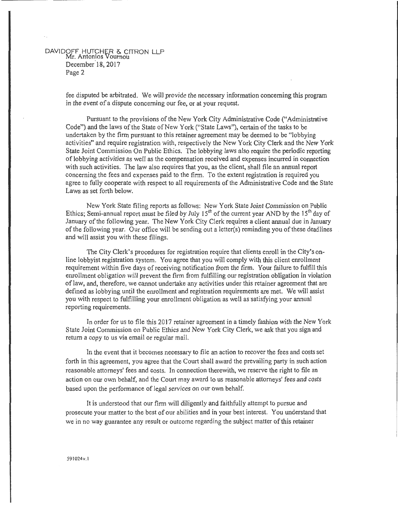# DAVIDOFF HUTCHER 0. CITRON LLP Mr. Antonios Vournou December<sup>18</sup>, 2017 Page 2

fee disputed be arbitrated. We will provide the necessary information concerning this program in the event of a dispute concerning our fee, or at your request.

Pursuant to the provisions of the New York City Administrative Code ("Administrative Code") and the laws of the State of New York ("State Laws"), certain of the tasks to be undertaken by the firm pursuant to this retainer agreement may be deemed to be "lobbying activities" and require registration with, respectively the New York City Clerk and the New York State Joint Commission On Public Ethics. The lobbying laws also require the periodic reporting of lobbying activities as well as the compensation received and expenses incurred in connection with such activities. The law also requires that you, as the client, shall file an annual report concerning the fees and expenses paid to the firm. To the extent registration is required you agree to fully cooperate with respect to all requirements of the Administrative Code and the State Laws as set forth below.

New York State filing reports as follows: New York State Joint Commission on Public Ethics; Semi-annual report must be filed by July  $15<sup>th</sup>$  of the current year AND by the  $15<sup>th</sup>$  day of January of the following year. The New York City Clerk requires a client annual due in January of the following year. Our office will be sending out a letter(s) reminding you of these deadlines and will assist you with these filings.

The City Clerk's procedures for registration require that clients enroll in the City's online lobbyist registration system. You agree that you will comply with this client enrollment requirement within five days of receiving notification from the firm. Your failure to fulfill this enrollment obligation will prevent the fitm from fulfilling our registration obligation in violation oflaw, and, therefore, we cannot undertake any activities under this retainer agreement that are defined as lobbying until the enrollment and registration requirements are met. We will assist you with respect to fulfilling your enrollment obligation as well as satisfying your annual reporting requirements.

In order for us to file this 2017 retainer agreement in a timely fashion with the New York State Joint Commission on Public Ethics and New York City Clerk, we ask that you sign and return a copy to us via email or regular mail.

In the event that it becomes necessary to file an action to recover the fees and costs set forth in this agreement, you agree that the Court shall award the prevailing party in such action reasonable attorneys' fees and costs. In connection therewith, we reserve the right to file an action on our own behalf, and the Court may award to us reasonable attorneys' fees and costs based upon the performance of legal services on our own behalf.

It is understood that our firm will diligently and faithfully attempt to pursue and prosecute your matter to the best of our abilities and in your best interest. You understand that we in no way guarantee any result or outcome regarding the subject matter of this retainer